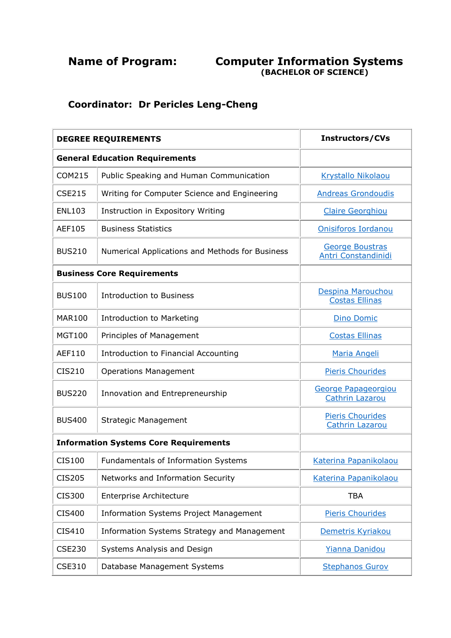## **Name of Program: Computer Information Systems (BACHELOR OF SCIENCE)**

## **Coordinator: Dr Pericles Leng-Cheng**

| <b>DEGREE REQUIREMENTS</b>            |                                                 | <b>Instructors/CVs</b>                            |  |
|---------------------------------------|-------------------------------------------------|---------------------------------------------------|--|
| <b>General Education Requirements</b> |                                                 |                                                   |  |
| <b>COM215</b>                         | Public Speaking and Human Communication         | Krystallo Nikolaou                                |  |
| <b>CSE215</b>                         | Writing for Computer Science and Engineering    | <b>Andreas Grondoudis</b>                         |  |
| <b>ENL103</b>                         | Instruction in Expository Writing               | <b>Claire Georghiou</b>                           |  |
| AEF105                                | <b>Business Statistics</b>                      | Onisiforos Iordanou                               |  |
| <b>BUS210</b>                         | Numerical Applications and Methods for Business | George Boustras<br><b>Antri Constandinidi</b>     |  |
| <b>Business Core Requirements</b>     |                                                 |                                                   |  |
| <b>BUS100</b>                         | <b>Introduction to Business</b>                 | Despina Marouchou<br><b>Costas Ellinas</b>        |  |
| <b>MAR100</b>                         | <b>Introduction to Marketing</b>                | <b>Dino Domic</b>                                 |  |
| <b>MGT100</b>                         | Principles of Management                        | <b>Costas Ellinas</b>                             |  |
| AEF110                                | Introduction to Financial Accounting            | Maria Angeli                                      |  |
| CIS210                                | <b>Operations Management</b>                    | <b>Pieris Chourides</b>                           |  |
| <b>BUS220</b>                         | Innovation and Entrepreneurship                 | George Papageorgiou<br><b>Cathrin Lazarou</b>     |  |
| <b>BUS400</b>                         | <b>Strategic Management</b>                     | <b>Pieris Chourides</b><br><b>Cathrin Lazarou</b> |  |
|                                       | <b>Information Systems Core Requirements</b>    |                                                   |  |
| <b>CIS100</b>                         | Fundamentals of Information Systems             | Katerina Papanikolaou                             |  |
| <b>CIS205</b>                         | Networks and Information Security               | Katerina Papanikolaou                             |  |
| <b>CIS300</b>                         | <b>Enterprise Architecture</b>                  | <b>TBA</b>                                        |  |
| <b>CIS400</b>                         | <b>Information Systems Project Management</b>   | <b>Pieris Chourides</b>                           |  |
| CIS410                                | Information Systems Strategy and Management     | Demetris Kyriakou                                 |  |
| <b>CSE230</b>                         | Systems Analysis and Design                     | Yianna Danidou                                    |  |
| <b>CSE310</b>                         | Database Management Systems                     | <b>Stephanos Gurov</b>                            |  |